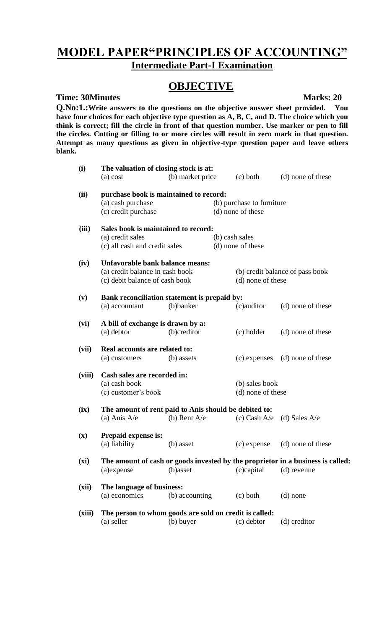# **MODEL PAPER"PRINCIPLES OF ACCOUNTING" Intermediate Part-I Examination**

# **OBJECTIVE**

### **Time: 30Minutes Marks: 20**

**Q.No:1.:Write answers to the questions on the objective answer sheet provided. You have four choices for each objective type question as A, B, C, and D. The choice which you think is correct; fill the circle in front of that question number. Use marker or pen to fill the circles. Cutting or filling to or more circles will result in zero mark in that question. Attempt as many questions as given in objective-type question paper and leave others blank.**

| (i)            | The valuation of closing stock is at:<br>$(a)$ cost                                                        | (b) market price |                                     | $(c)$ both                                           | (d) none of these                                                                              |  |
|----------------|------------------------------------------------------------------------------------------------------------|------------------|-------------------------------------|------------------------------------------------------|------------------------------------------------------------------------------------------------|--|
| (ii)           | purchase book is maintained to record:<br>(a) cash purchase<br>(c) credit purchase                         |                  |                                     | (b) purchase to furniture<br>(d) none of these       |                                                                                                |  |
| (iii)          | Sales book is maintained to record:<br>(a) credit sales<br>(c) all cash and credit sales                   |                  | (b) cash sales<br>(d) none of these |                                                      |                                                                                                |  |
| (iv)           | Unfavorable bank balance means:<br>(a) credit balance in cash book<br>(c) debit balance of cash book       |                  |                                     | (b) credit balance of pass book<br>(d) none of these |                                                                                                |  |
| (v)            | Bank reconciliation statement is prepaid by:<br>(a) accountant                                             | (b)banker        |                                     | (c)auditor                                           | (d) none of these                                                                              |  |
| (vi)           | A bill of exchange is drawn by a:<br>(a) debtor                                                            | (b)creditor      |                                     | (c) holder                                           | (d) none of these                                                                              |  |
| (vii)          | Real accounts are related to:<br>(a) customers                                                             | (b) assets       |                                     | (c) expenses                                         | (d) none of these                                                                              |  |
| (viii)         | Cash sales are recorded in:<br>(a) cash book<br>(b) sales book<br>(c) customer's book<br>(d) none of these |                  |                                     |                                                      |                                                                                                |  |
| (ix)           | The amount of rent paid to Anis should be debited to:<br>(a) Anis $A/e$                                    | (b) Rent $A/e$   |                                     | $(c)$ Cash A/e                                       | (d) Sales $A/e$                                                                                |  |
| $(\mathbf{x})$ | Prepaid expense is:<br>(a) liability                                                                       | (b) asset        |                                     | (c) expense                                          | (d) none of these                                                                              |  |
| (xi)           | (a)expense                                                                                                 | (b)asset         |                                     | (c)capital                                           | The amount of cash or goods invested by the proprietor in a business is called:<br>(d) revenue |  |
| (xii)          | The language of business:<br>(a) economics                                                                 | (b) accounting   |                                     | $(c)$ both                                           | $(d)$ none                                                                                     |  |
| (xiii)         | The person to whom goods are sold on credit is called:<br>(a) seller                                       | (b) buyer        |                                     | (c) debtor                                           | (d) creditor                                                                                   |  |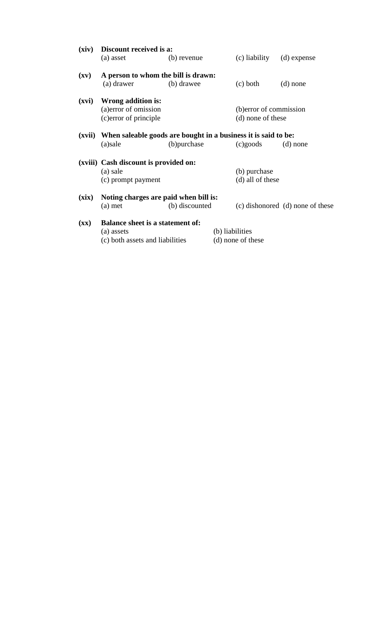| (xiv)                    | Discount received is a:                                                                  |                |  |                                              |                                  |
|--------------------------|------------------------------------------------------------------------------------------|----------------|--|----------------------------------------------|----------------------------------|
|                          | (a) asset                                                                                | (b) revenue    |  | (c) liability                                | (d) expense                      |
| $(\mathbf{x}\mathbf{v})$ | A person to whom the bill is drawn:<br>(a) drawer                                        | (b) drawee     |  | $(c)$ both                                   | $(d)$ none                       |
| (xvi)                    | Wrong addition is:<br>(a) error of omission<br>(c) error of principle                    |                |  | (b) error of commission<br>(d) none of these |                                  |
| (xvii)                   | When saleable goods are bought in a business it is said to be:<br>(a)sale                | (b) purchase   |  | $(c)$ goods                                  | $(d)$ none                       |
|                          | (xviii) Cash discount is provided on:<br>(a) sale<br>(c) prompt payment                  |                |  | (b) purchase<br>(d) all of these             |                                  |
| (xix)                    | Noting charges are paid when bill is:<br>$(a)$ met                                       | (b) discounted |  |                                              | (c) dishonored (d) none of these |
| $(\mathbf{X}\mathbf{X})$ | <b>Balance sheet is a statement of:</b><br>(a) assets<br>(c) both assets and liabilities |                |  | (b) liabilities<br>(d) none of these         |                                  |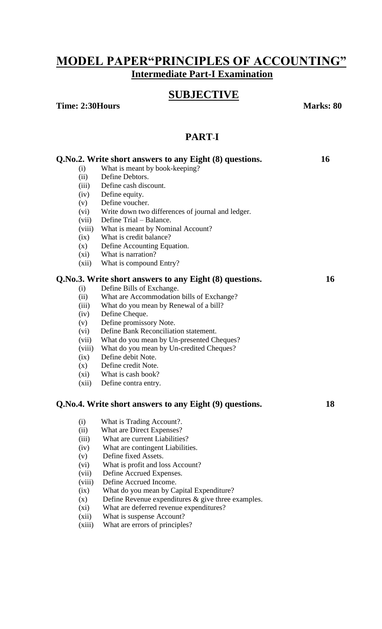## **MODEL PAPER"PRINCIPLES OF ACCOUNTING" Intermediate Part-I Examination**

## **SUBJECTIVE**

**Time: 2:30Hours Marks: 80**

## **PART**-**I**

|        | Q.No.2. Write short answers to any Eight (8) questions. | 16 |
|--------|---------------------------------------------------------|----|
| (i)    | What is meant by book-keeping?                          |    |
| (ii)   | Define Debtors.                                         |    |
| (iii)  | Define cash discount.                                   |    |
| (iv)   | Define equity.                                          |    |
| (v)    | Define voucher.                                         |    |
| (vi)   | Write down two differences of journal and ledger.       |    |
| (vii)  | Define Trial – Balance.                                 |    |
| (viii) | What is meant by Nominal Account?                       |    |
| (ix)   | What is credit balance?                                 |    |
| (x)    | Define Accounting Equation.                             |    |
| (xi)   | What is narration?                                      |    |
| (xii)  | What is compound Entry?                                 |    |
|        | Q.No.3. Write short answers to any Eight (8) questions. | 16 |
| (i)    | Define Bills of Exchange.                               |    |
| (ii)   | What are Accommodation bills of Exchange?               |    |
| (iii)  | What do you mean by Renewal of a bill?                  |    |
| (iv)   | Define Cheque.                                          |    |
| (v)    | Define promissory Note.                                 |    |
| (vi)   | Define Bank Reconciliation statement.                   |    |
| (vii)  | What do you mean by Un-presented Cheques?               |    |
| (viii) | What do you mean by Un-credited Cheques?                |    |
| (ix)   | Define debit Note.                                      |    |
| (x)    | Define credit Note.                                     |    |
| (xi)   | What is cash book?                                      |    |
| (xii)  | Define contra entry.                                    |    |
|        | Q.No.4. Write short answers to any Eight (9) questions. | 18 |
| (i)    | What is Trading Account?.                               |    |
| (ii)   | What are Direct Expenses?                               |    |
| (iii)  | What are current Liabilities?                           |    |
| (iv)   | What are contingent Liabilities.                        |    |
| (v)    | Define fixed Assets.                                    |    |
| (vi)   | What is profit and loss Account?                        |    |
| (vii)  | Define Accrued Expenses.                                |    |
| (viii) | Define Accrued Income.                                  |    |
| (ix)   | What do you mean by Capital Expenditure?                |    |
| (x)    | Define Revenue expenditures $\&$ give three examples.   |    |

- (xi) What are deferred revenue expenditures?
- (xii) What is suspense Account?
- (xiii) What are errors of principles?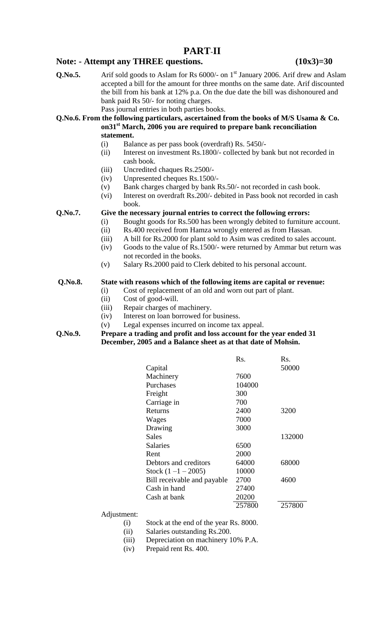### **PART**-**II**

### Note: - Attempt any THREE questions. (10x3)=30

Q.No.5. Arif sold goods to Aslam for Rs 6000/- on 1<sup>st</sup> January 2006. Arif drew and Aslam accepted a bill for the amount for three months on the same date. Arif discounted the bill from his bank at 12% p.a. On the due date the bill was dishonoured and bank paid Rs 50/- for noting charges.

Pass journal entries in both parties books.

#### **Q.No.6. From the following particulars, ascertained from the books of M/S Usama & Co. on31st March, 2006 you are required to prepare bank reconciliation statement.**

- (i) Balance as per pass book (overdraft) Rs. 5450/-
- (ii) Interest on investment Rs.1800/- collected by bank but not recorded in cash book.
- (iii) Uncredited chaques Rs.2500/-
- (iv) Unpresented cheques Rs.1500/-
- (v) Bank charges charged by bank Rs.50/- not recorded in cash book.
- (vi) Interest on overdraft Rs.200/- debited in Pass book not recorded in cash book.

### **Q.No.7. Give the necessary journal entries to correct the following errors:**

- (i) Bought goods for Rs.500 has been wrongly debited to furniture account.
- (ii) Rs.400 received from Hamza wrongly entered as from Hassan.
- (iii) A bill for Rs.2000 for plant sold to Asim was credited to sales account.
- (iv) Goods to the value of Rs.1500/- were returned by Ammar but return was not recorded in the books.
- (v) Salary Rs.2000 paid to Clerk debited to his personal account.

#### **Q.No.8. State with reasons which of the following items are capital or revenue:**

- (i) Cost of replacement of an old and worn out part of plant.
- (ii) Cost of good-will.
- (iii) Repair charges of machinery.
- (iv) Interest on loan borrowed for business.
- (v) Legal expenses incurred on income tax appeal.
- **Q.No.9. Prepare a trading and profit and loss account for the year ended 31 December, 2005 and a Balance sheet as at that date of Mohsin.**

|                             | $\mathbf{Rs}$ . | Rs.    |
|-----------------------------|-----------------|--------|
| Capital                     |                 | 50000  |
| Machinery                   | 7600            |        |
| Purchases                   | 104000          |        |
| Freight                     | 300             |        |
| Carriage in                 | 700             |        |
| Returns                     | 2400            | 3200   |
| Wages                       | 7000            |        |
| Drawing                     | 3000            |        |
| Sales                       |                 | 132000 |
| Salaries                    | 6500            |        |
| Rent                        | 2000            |        |
| Debtors and creditors       | 64000           | 68000  |
| Stock $(1 -1 - 2005)$       | 10000           |        |
| Bill receivable and payable | 2700            | 4600   |
| Cash in hand                | 27400           |        |
| Cash at bank                | 20200           |        |
|                             | 257800          | 257800 |

#### Adjustment:

(i) Stock at the end of the year Rs. 8000.

(ii) Salaries outstanding Rs.200.

(iii) Depreciation on machinery 10% P.A.

(iv) Prepaid rent Rs. 400.